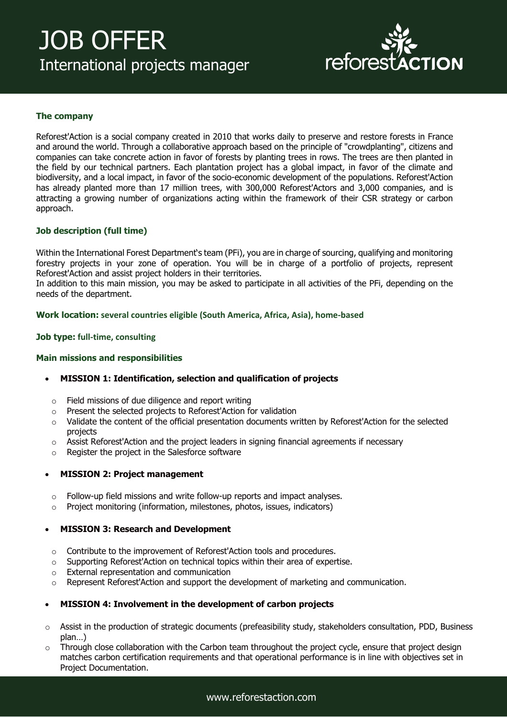# JOB OFFER International projects manager



# **The company**

Reforest'Action is a social company created in 2010 that works daily to preserve and restore forests in France and around the world. Through a collaborative approach based on the principle of "crowdplanting", citizens and companies can take concrete action in favor of forests by planting trees in rows. The trees are then planted in the field by our technical partners. Each plantation project has a global impact, in favor of the climate and biodiversity, and a local impact, in favor of the socio-economic development of the populations. Reforest'Action has already planted more than 17 million trees, with 300,000 Reforest'Actors and 3,000 companies, and is attracting a growing number of organizations acting within the framework of their CSR strategy or carbon approach.

### **Job description (full time)**

Within the International Forest Department's team (PFi), you are in charge of sourcing, qualifying and monitoring forestry projects in your zone of operation. You will be in charge of a portfolio of projects, represent Reforest'Action and assist project holders in their territories.

In addition to this main mission, you may be asked to participate in all activities of the PFi, depending on the needs of the department.

#### **Work location: several countries eligible (South America, Africa, Asia), home-based**

#### **Job type: full-time, consulting**

#### **Main missions and responsibilities**

#### • **MISSION 1: Identification, selection and qualification of projects**

- o Field missions of due diligence and report writing
- o Present the selected projects to Reforest'Action for validation
- o Validate the content of the official presentation documents written by Reforest'Action for the selected projects
- $\circ$  Assist Reforest'Action and the project leaders in signing financial agreements if necessary
- o Register the project in the Salesforce software

#### • **MISSION 2: Project management**

- o Follow-up field missions and write follow-up reports and impact analyses.
- o Project monitoring (information, milestones, photos, issues, indicators)

#### • **MISSION 3: Research and Development**

- o Contribute to the improvement of Reforest'Action tools and procedures.
- $\circ$  Supporting Reforest'Action on technical topics within their area of expertise.
- o External representation and communication
- Represent Reforest'Action and support the development of marketing and communication.

#### • **MISSION 4: Involvement in the development of carbon projects**

- $\circ$  Assist in the production of strategic documents (prefeasibility study, stakeholders consultation, PDD, Business plan…)
- $\circ$  Through close collaboration with the Carbon team throughout the project cycle, ensure that project design matches carbon certification requirements and that operational performance is in line with objectives set in Project Documentation.